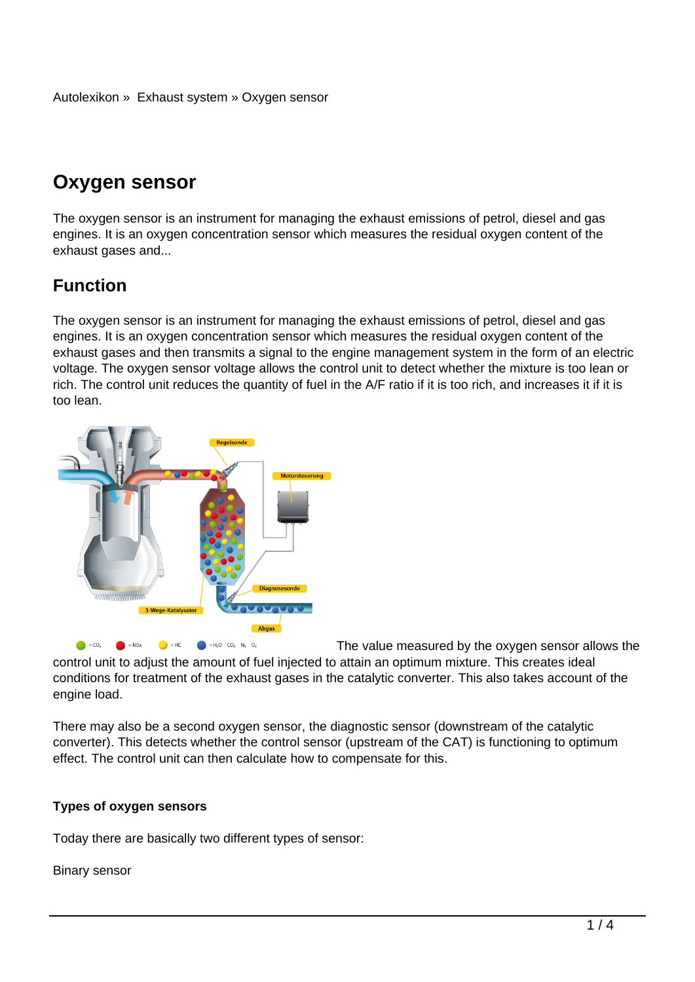# **Oxygen sensor**

The oxygen sensor is an instrument for managing the exhaust emissions of petrol, diesel and gas engines. It is an oxygen concentration sensor which measures the residual oxygen content of the exhaust gases and...

## **Function**

The oxygen sensor is an instrument for managing the exhaust emissions of petrol, diesel and gas engines. It is an oxygen concentration sensor which measures the residual oxygen content of the exhaust gases and then transmits a signal to the engine management system in the form of an electric voltage. The oxygen sensor voltage allows the control unit to detect whether the mixture is too lean or rich. The control unit reduces the quantity of fuel in the A/F ratio if it is too rich, and increases it if it is too lean.



The value measured by the oxygen sensor allows the

control unit to adjust the amount of fuel injected to attain an optimum mixture. This creates ideal conditions for treatment of the exhaust gases in the catalytic converter. This also takes account of the engine load.

There may also be a second oxygen sensor, the diagnostic sensor (downstream of the catalytic converter). This detects whether the control sensor (upstream of the CAT) is functioning to optimum effect. The control unit can then calculate how to compensate for this.

### **Types of oxygen sensors**

Today there are basically two different types of sensor:

Binary sensor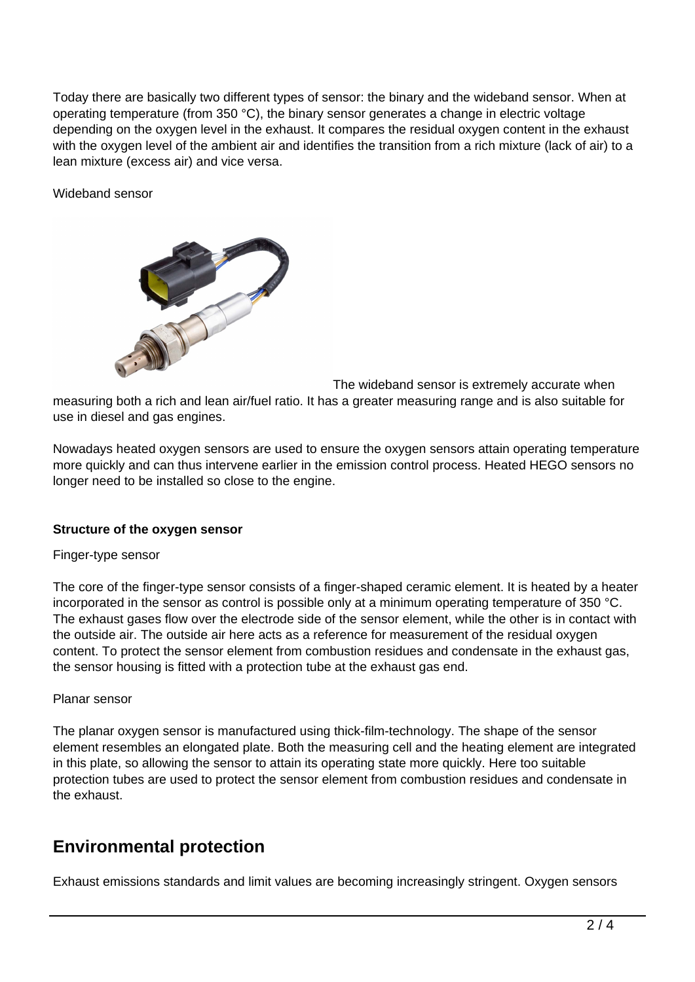Today there are basically two different types of sensor: the binary and the wideband sensor. When at operating temperature (from 350 °C), the binary sensor generates a change in electric voltage depending on the oxygen level in the exhaust. It compares the residual oxygen content in the exhaust with the oxygen level of the ambient air and identifies the transition from a rich mixture (lack of air) to a lean mixture (excess air) and vice versa.

Wideband sensor



The wideband sensor is extremely accurate when

measuring both a rich and lean air/fuel ratio. It has a greater measuring range and is also suitable for use in diesel and gas engines.

Nowadays heated oxygen sensors are used to ensure the oxygen sensors attain operating temperature more quickly and can thus intervene earlier in the emission control process. Heated HEGO sensors no longer need to be installed so close to the engine.

#### **Structure of the oxygen sensor**

#### Finger-type sensor

The core of the finger-type sensor consists of a finger-shaped ceramic element. It is heated by a heater incorporated in the sensor as control is possible only at a minimum operating temperature of 350 °C. The exhaust gases flow over the electrode side of the sensor element, while the other is in contact with the outside air. The outside air here acts as a reference for measurement of the residual oxygen content. To protect the sensor element from combustion residues and condensate in the exhaust gas, the sensor housing is fitted with a protection tube at the exhaust gas end.

#### Planar sensor

The planar oxygen sensor is manufactured using thick-film-technology. The shape of the sensor element resembles an elongated plate. Both the measuring cell and the heating element are integrated in this plate, so allowing the sensor to attain its operating state more quickly. Here too suitable protection tubes are used to protect the sensor element from combustion residues and condensate in the exhaust.

## **Environmental protection**

Exhaust emissions standards and limit values are becoming increasingly stringent. Oxygen sensors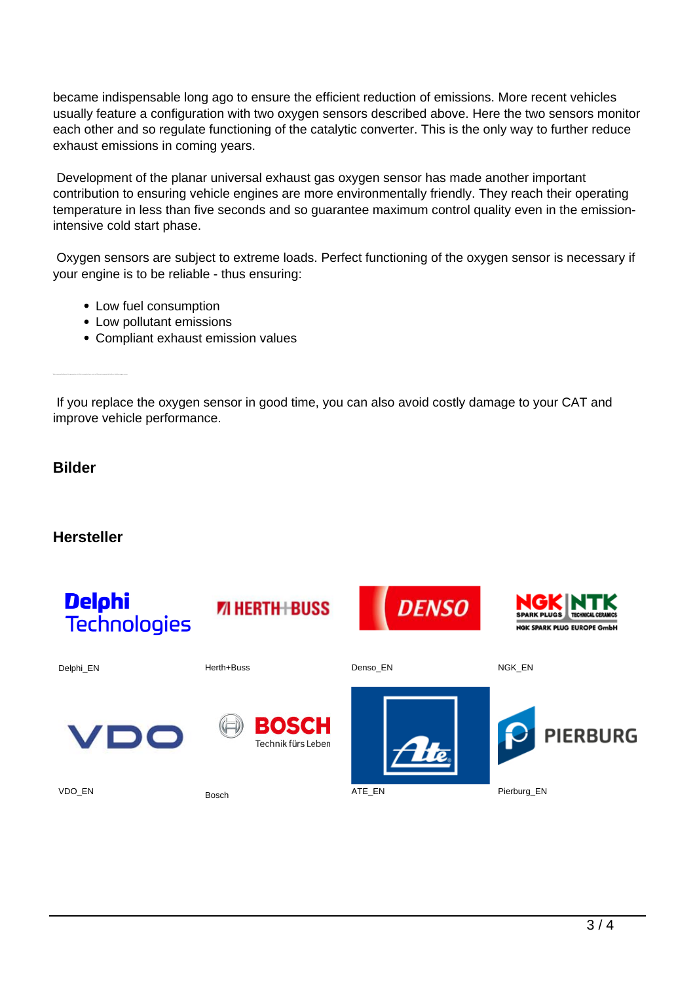became indispensable long ago to ensure the efficient reduction of emissions. More recent vehicles usually feature a configuration with two oxygen sensors described above. Here the two sensors monitor each other and so regulate functioning of the catalytic converter. This is the only way to further reduce exhaust emissions in coming years.

 Development of the planar universal exhaust gas oxygen sensor has made another important contribution to ensuring vehicle engines are more environmentally friendly. They reach their operating temperature in less than five seconds and so guarantee maximum control quality even in the emissionintensive cold start phase.

 Oxygen sensors are subject to extreme loads. Perfect functioning of the oxygen sensor is necessary if your engine is to be reliable - thus ensuring:

- Low fuel consumption
- Low pollutant emissions
- Compliant exhaust emission values

 If you replace the oxygen sensor in good time, you can also avoid costly damage to your CAT and improve vehicle performance.

### **Bilder**

## **Hersteller**